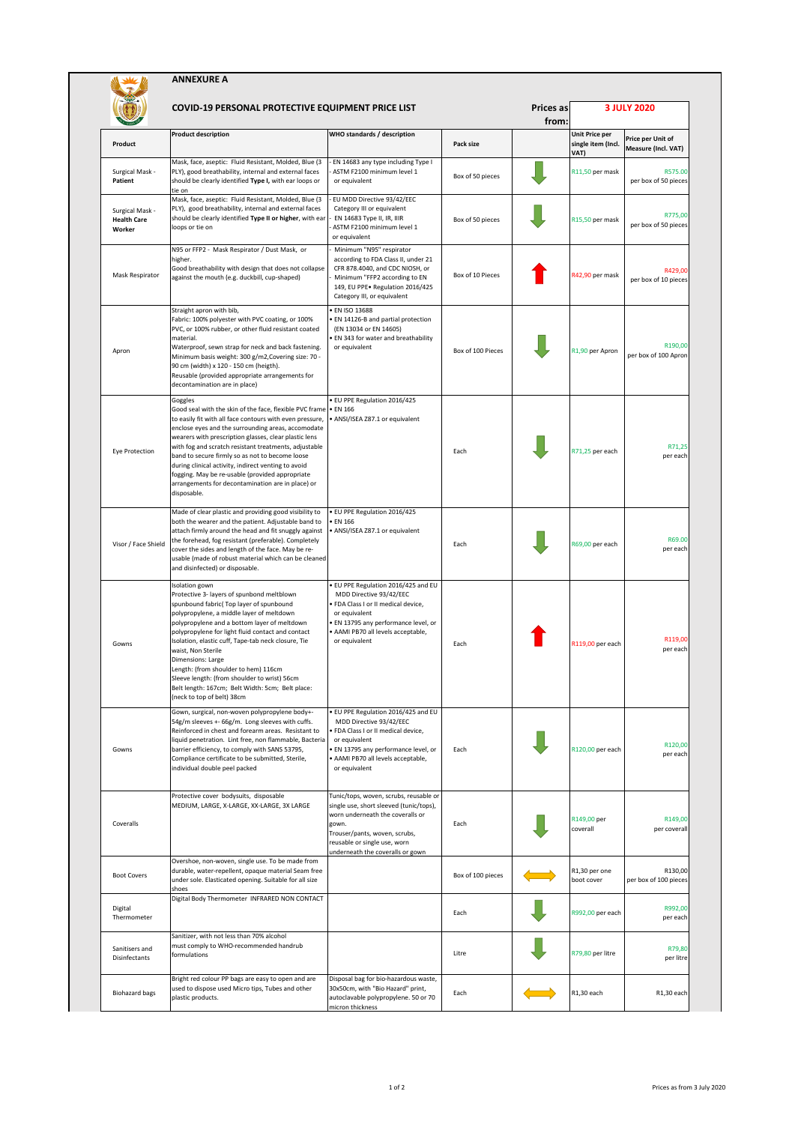|                                                 | <b>ANNEXURE A</b>                                                                                                                                                                                                                                                                                                                                                                                                                                                                                                                                |                                                                                                                                                                                                                                     |                   |                           |                                                     |                                          |  |  |
|-------------------------------------------------|--------------------------------------------------------------------------------------------------------------------------------------------------------------------------------------------------------------------------------------------------------------------------------------------------------------------------------------------------------------------------------------------------------------------------------------------------------------------------------------------------------------------------------------------------|-------------------------------------------------------------------------------------------------------------------------------------------------------------------------------------------------------------------------------------|-------------------|---------------------------|-----------------------------------------------------|------------------------------------------|--|--|
|                                                 | COVID-19 PERSONAL PROTECTIVE EQUIPMENT PRICE LIST                                                                                                                                                                                                                                                                                                                                                                                                                                                                                                |                                                                                                                                                                                                                                     |                   | <b>Prices as</b><br>from: |                                                     | 3 JULY 2020                              |  |  |
| Product                                         | <b>Product description</b>                                                                                                                                                                                                                                                                                                                                                                                                                                                                                                                       | WHO standards / description                                                                                                                                                                                                         | Pack size         |                           | <b>Unit Price per</b><br>single item (Incl.<br>VAT) | Price per Unit of<br>Measure (Incl. VAT) |  |  |
| Surgical Mask -<br>Patient                      | Mask, face, aseptic: Fluid Resistant, Molded, Blue (3<br>PLY), good breathability, internal and external faces<br>should be clearly identified Type I, with ear loops or<br>tie on                                                                                                                                                                                                                                                                                                                                                               | EN 14683 any type including Type I<br>ASTM F2100 minimum level 1<br>or equivalent                                                                                                                                                   | Box of 50 pieces  |                           | R11,50 per mask                                     | R575.00<br>per box of 50 pieces          |  |  |
| Surgical Mask -<br><b>Health Care</b><br>Worker | Mask, face, aseptic: Fluid Resistant, Molded, Blue (3<br>PLY), good breathability, internal and external faces<br>should be clearly identified Type II or higher, with ear<br>loops or tie on                                                                                                                                                                                                                                                                                                                                                    | EU MDD Directive 93/42/EEC<br>Category III or equivalent<br>EN 14683 Type II, IR, IIIR<br>ASTM F2100 minimum level 1<br>or equivalent                                                                                               | Box of 50 pieces  |                           | R15,50 per mask                                     | R775,00<br>per box of 50 pieces          |  |  |
| Mask Respirator                                 | N95 or FFP2 - Mask Respirator / Dust Mask, or<br>higher.<br>Good breathability with design that does not collapse<br>against the mouth (e.g. duckbill, cup-shaped)                                                                                                                                                                                                                                                                                                                                                                               | Minimum "N95" respirator<br>according to FDA Class II, under 21<br>CFR 878.4040, and CDC NIOSH, or<br>Minimum "FFP2 according to EN<br>149, EU PPE · Regulation 2016/425<br>Category III, or equivalent                             | Box of 10 Pieces  |                           | R42,90 per mask                                     | R429,00<br>per box of 10 pieces          |  |  |
| Apron                                           | Straight apron with bib,<br>Fabric: 100% polyester with PVC coating, or 100%<br>PVC, or 100% rubber, or other fluid resistant coated<br>material.<br>Waterproof, sewn strap for neck and back fastening.<br>Minimum basis weight: 300 g/m2, Covering size: 70 -<br>90 cm (width) x 120 - 150 cm (heigth).<br>Reusable (provided appropriate arrangements for<br>decontamination are in place)                                                                                                                                                    | <b>EN ISO 13688</b><br>EN 14126-B and partial protection<br>(EN 13034 or EN 14605)<br>EN 343 for water and breathability<br>or equivalent                                                                                           | Box of 100 Pieces |                           | R1,90 per Apron                                     | R190,00<br>per box of 100 Apron          |  |  |
| Eye Protection                                  | Goggles<br>Good seal with the skin of the face, flexible PVC frame . EN 166<br>to easily fit with all face contours with even pressure,<br>enclose eyes and the surrounding areas, accomodate<br>wearers with prescription glasses, clear plastic lens<br>with fog and scratch resistant treatments, adjustable<br>band to secure firmly so as not to become loose<br>during clinical activity, indirect venting to avoid<br>fogging. May be re-usable (provided appropriate<br>arrangements for decontamination are in place) or<br>disposable. | · EU PPE Regulation 2016/425<br>· ANSI/ISEA Z87.1 or equivalent                                                                                                                                                                     | Each              |                           | R71,25 per each                                     | R71,25<br>per each                       |  |  |
| Visor / Face Shield                             | Made of clear plastic and providing good visibility to<br>both the wearer and the patient. Adjustable band to<br>attach firmly around the head and fit snuggly against<br>the forehead, fog resistant (preferable). Completely<br>cover the sides and length of the face. May be re-<br>usable (made of robust material which can be cleaned<br>and disinfected) or disposable.                                                                                                                                                                  | · EU PPE Regulation 2016/425<br>• EN 166<br>· ANSI/ISEA Z87.1 or equivalent                                                                                                                                                         | Each              |                           | R69,00 per each                                     | R69.00<br>per each                       |  |  |
| Gowns                                           | Isolation gown<br>Protective 3- layers of spunbond meltblown<br>spunbound fabric( Top layer of spunbound<br>polypropylene, a middle layer of meltdown<br>polypropylene and a bottom layer of meltdown<br>polypropylene for light fluid contact and contact<br>Isolation, elastic cuff, Tape-tab neck closure, Tie<br>waist, Non Sterile<br>Dimensions: Large<br>Length: (from shoulder to hem) 116cm<br>Sleeve length: (from shoulder to wrist) 56cm<br>Belt length: 167cm; Belt Width: 5cm; Belt place:<br>(neck to top of belt) 38cm           | · EU PPE Regulation 2016/425 and EU<br>MDD Directive 93/42/EEC<br>FDA Class I or II medical device,<br>or equivalent<br>EN 13795 any performance level, or<br>AAMI PB70 all levels acceptable,<br>or equivalent                     | Each              |                           | R119,00 per each                                    | R119,00<br>per each                      |  |  |
| Gowns                                           | Gown, surgical, non-woven polypropylene body+-<br>54g/m sleeves +- 66g/m. Long sleeves with cuffs.<br>Reinforced in chest and forearm areas. Resistant to<br>liquid penetration. Lint free, non flammable, Bacteria<br>barrier efficiency, to comply with SANS 53795,<br>Compliance certificate to be submitted, Sterile,<br>individual double peel packed                                                                                                                                                                                       | EU PPE Regulation 2016/425 and EU<br>MDD Directive 93/42/EEC<br>· FDA Class I or II medical device,<br>or equivalent<br>· EN 13795 any performance level, or<br>AAMI PB70 all levels acceptable,<br>or equivalent                   | Each              |                           | R120,00 per each                                    | R120,00<br>per each                      |  |  |
| Coveralls                                       | Protective cover bodysuits, disposable<br>MEDIUM, LARGE, X-LARGE, XX-LARGE, 3X LARGE                                                                                                                                                                                                                                                                                                                                                                                                                                                             | Tunic/tops, woven, scrubs, reusable or<br>single use, short sleeved (tunic/tops),<br>worn underneath the coveralls or<br>gown.<br>Trouser/pants, woven, scrubs,<br>reusable or single use, worn<br>underneath the coveralls or gown | Each              |                           | R149,00 per<br>coverall                             | R149,00<br>per coverall                  |  |  |
| <b>Boot Covers</b>                              | Overshoe, non-woven, single use. To be made from<br>durable, water-repellent, opaque material Seam free<br>under sole. Elasticated opening. Suitable for all size<br>shoes                                                                                                                                                                                                                                                                                                                                                                       |                                                                                                                                                                                                                                     | Box of 100 pieces |                           | R1,30 per one<br>boot cover                         | R130,00<br>per box of 100 pieces         |  |  |
| Digital<br>Thermometer                          | Digital Body Thermometer INFRARED NON CONTACT                                                                                                                                                                                                                                                                                                                                                                                                                                                                                                    |                                                                                                                                                                                                                                     | Each              |                           | R992,00 per each                                    | R992,00<br>per each                      |  |  |
| Sanitisers and<br>Disinfectants                 | Sanitizer, with not less than 70% alcohol<br>must comply to WHO-recommended handrub<br>formulations                                                                                                                                                                                                                                                                                                                                                                                                                                              |                                                                                                                                                                                                                                     | Litre             |                           | R79,80 per litre                                    | R79,80<br>per litre                      |  |  |
| <b>Biohazard bags</b>                           | Bright red colour PP bags are easy to open and are<br>used to dispose used Micro tips, Tubes and other<br>plastic products.                                                                                                                                                                                                                                                                                                                                                                                                                      | Disposal bag for bio-hazardous waste,<br>30x50cm, with "Bio Hazard" print,<br>autoclavable polypropylene. 50 or 70<br>micron thickness                                                                                              | Each              |                           | R1,30 each                                          | R1,30 each                               |  |  |